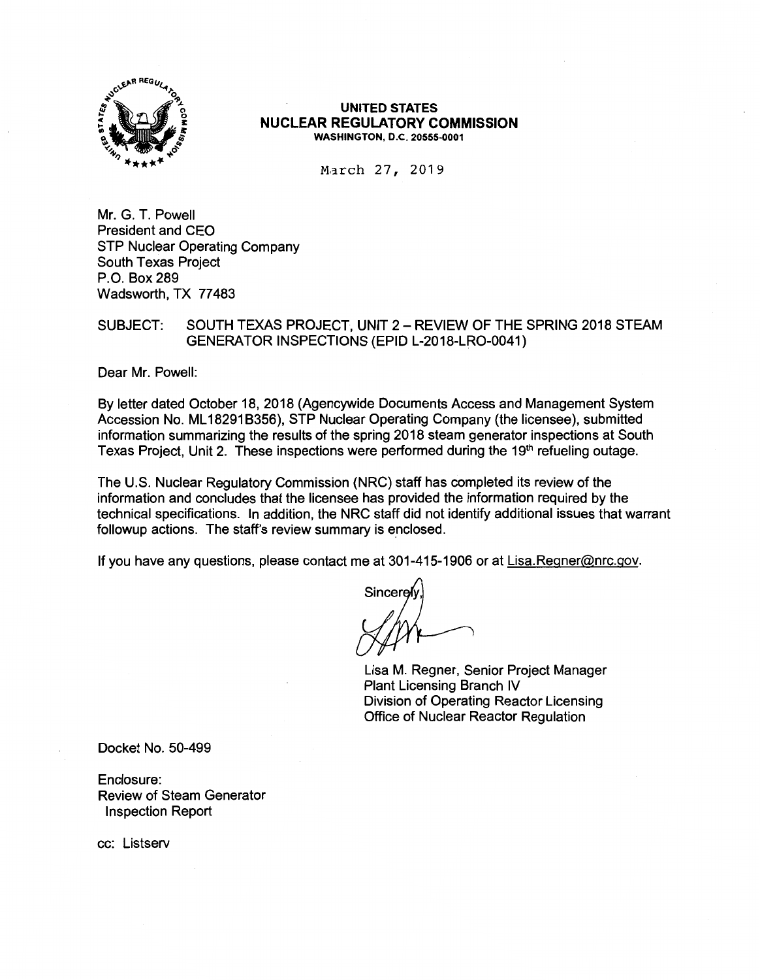

### **UNITED STATES NUCLEAR REGULATORY COMMISSION WASHINGTON, D.C. 20555-0001**

March 27, 2019

Mr. G. T. Powell President and CEO STP Nuclear Operating Company South Texas Project P.O. Box 289 Wadsworth, TX 77483

SUBJECT: SOUTH TEXAS PROJECT, UNIT 2 - REVIEW OF THE SPRING 2018 STEAM GENERATOR INSPECTIONS (EPID L-2018-LR0-0041)

Dear Mr. Powell:

By letter dated October 18, 2018 (Agencywide Documents Access and Management System Accession No. ML 182918356), STP Nuclear Operating Company (the licensee), submitted information summarizing the results of the spring 2018 steam generator inspections at South Texas Project, Unit 2. These inspections were performed during the 19<sup>th</sup> refueling outage.

The U.S. Nuclear Regulatory Commission (NRC) staff has completed its review of the information and concludes that the licensee has provided the information required by the technical specifications. In addition, the NRC staff did not identify additional issues that warrant followup actions. The staff's review summary is enclosed.

If you have any questions, please contact me at 301-415-1906 or at Lisa.Regner@nrc.gov.

Lisa M. Regner, Senior Project Manager Plant Licensing Branch IV Division of Operating Reactor Licensing Office of Nuclear Reactor Regulation

Docket No. 50-499

Enclosure: Review of Steam Generator Inspection Report

cc: Listserv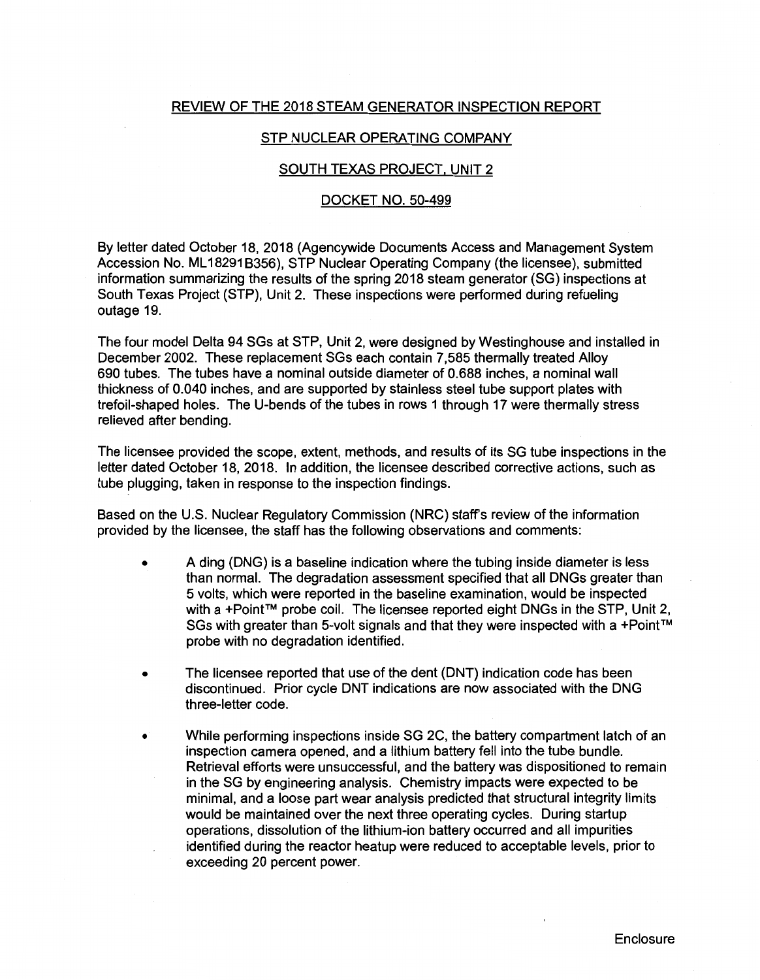# REVIEW OF THE 2018 STEAM GENERATOR INSPECTION REPORT

# STP NUCLEAR OPERATING COMPANY

### SOUTH TEXAS PROJECT, UNIT 2

#### DOCKET NO. 50-499

By letter dated October 18, 2018 (Agencywide Documents Access and Management System Accession No. ML 182918356), STP Nuclear Operating Company (the licensee), submitted information summarizing the results of the spring 2018 steam generator (SG) inspections at South Texas Project (STP), Unit 2. These inspections were performed during refueling outage 19.

The four model Delta 94 SGs at STP, Unit 2, were designed by Westinghouse and installed in December 2002. These replacement SGs each contain 7,585 thermally treated Alloy 690 tubes. The tubes have a nominal outside diameter of 0.688 inches, a nominal wall thickness of 0.040 inches, and are supported by stainless steel tube support plates with trefoil-shaped holes. The U-bends of the tubes in rows 1 through 17 were thermally stress relieved after bending.

The licensee provided the scope, extent, methods, and results of its SG tube inspections in the letter dated October 18, 2018. In addition, the licensee described corrective actions, such as tube plugging, taken in response to the inspection findings.

Based on the U.S. Nuclear Regulatory Commission (NRC) staff's review of the information provided by the licensee, the staff has the following observations and comments:

- A ding (DNG) is a baseline indication where the tubing inside diameter is less than normal. The degradation assessment specified that all DNGs greater than 5 volts, which were reported in the baseline examination, would be inspected with a +Point™ probe coil. The licensee reported eight DNGs in the STP, Unit 2, SGs with greater than 5-volt signals and that they were inspected with a +Point™ probe with no degradation identified.
- The licensee reported that use of the dent (DNT) indication code has been discontinued. Prior cycle DNT indications are now associated with the DNG three-letter code.
- While performing inspections inside SG 2C, the battery compartment latch of an inspection camera opened, and a lithium battery fell into the tube bundle. Retrieval efforts were unsuccessful, and the battery was dispositioned to remain in the SG by engineering analysis. Chemistry impacts were expected to be minimal, and a loose part wear analysis predicted that structural integrity limits would be maintained over the next three operating cycles. During startup operations, dissolution of the lithium-ion battery occurred and all impurities identified during the reactor heatup were reduced to acceptable levels, prior to exceeding 20 percent power.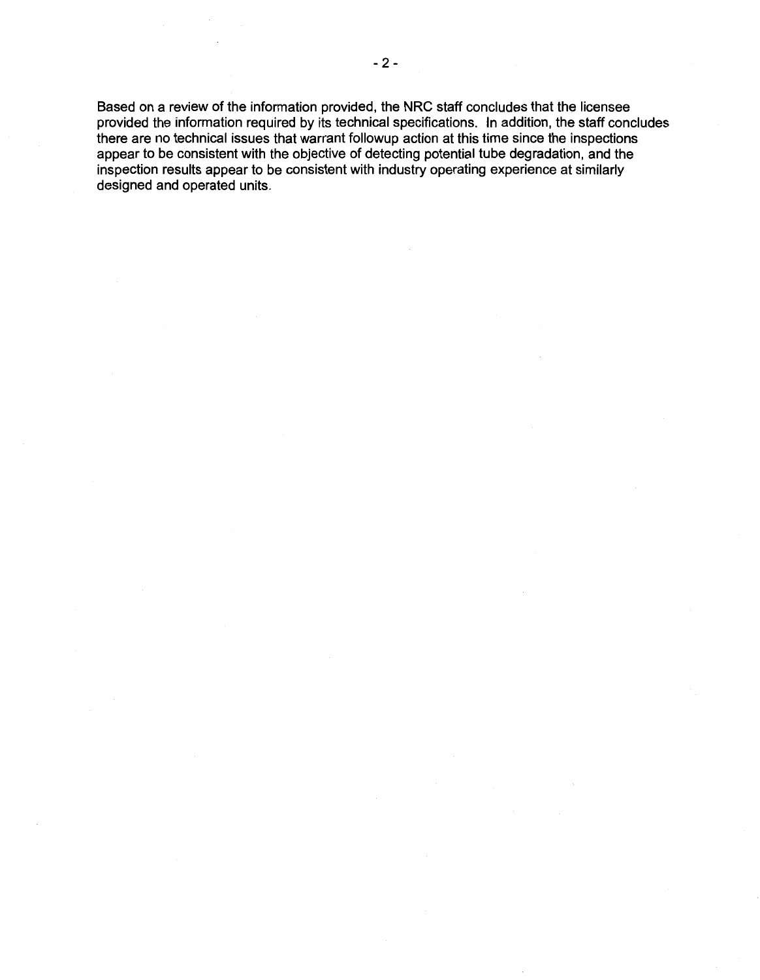Based on a review of the information provided, the NRC staff concludes that the licensee provided the information required by its technical specifications. In addition, the staff concludes there are no technical issues that warrant followup action at this time since the inspections appear to be consistent with the objective of detecting potential tube degradation, and the inspection results appear to be consistent with industry operating experience at similarly designed and operated units.